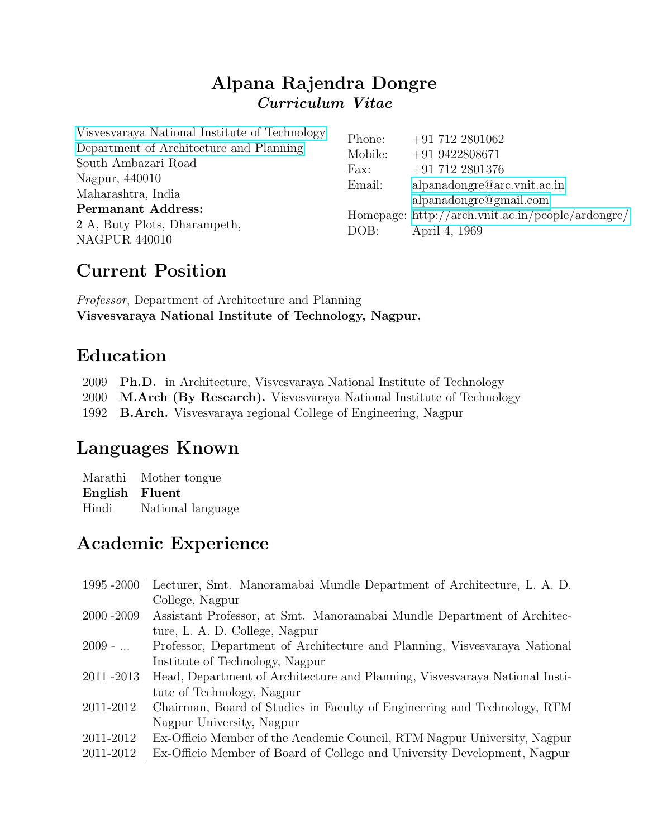### Alpana Rajendra Dongre Curriculum Vitae

| Visvesvaraya National Institute of Technology | Phone:  | $+91\ 712\ 2801062$                               |
|-----------------------------------------------|---------|---------------------------------------------------|
| Department of Architecture and Planning       | Mobile: | $+919422808671$                                   |
| South Ambazari Road                           | Fax:    | $+91\ 712\ 2801376$                               |
| Nagpur, 440010                                | Email:  | alpanadongre@arc.vnit.ac.in                       |
| Maharashtra, India                            |         | alpanadongre@gmail.com                            |
| <b>Permanant Address:</b>                     |         | Homepage: http://arch.vnit.ac.in/people/ardongre/ |
| 2 A, Buty Plots, Dharampeth,                  | DOB:    | April 4, 1969                                     |
| <b>NAGPUR 440010</b>                          |         |                                                   |

## Current Position

Professor, Department of Architecture and Planning Visvesvaraya National Institute of Technology, Nagpur.

# Education

2009 Ph.D. in Architecture, Visvesvaraya National Institute of Technology

2000 M.Arch (By Research). Visvesvaraya National Institute of Technology

1992 B.Arch. Visvesvaraya regional College of Engineering, Nagpur

# Languages Known

Marathi Mother tongue English Fluent Hindi National language

# Academic Experience

| 1995-2000     | Lecturer, Smt. Manoramabai Mundle Department of Architecture, L. A. D.      |
|---------------|-----------------------------------------------------------------------------|
|               | College, Nagpur                                                             |
| $2000 - 2009$ | Assistant Professor, at Smt. Manoramabai Mundle Department of Architec-     |
|               | ture, L. A. D. College, Nagpur                                              |
| $2009 - $     | Professor, Department of Architecture and Planning, Visvesvaraya National   |
|               | Institute of Technology, Nagpur                                             |
| 2011-2013     | Head, Department of Architecture and Planning, Visvesvaraya National Insti- |
|               | tute of Technology, Nagpur                                                  |
| 2011-2012     | Chairman, Board of Studies in Faculty of Engineering and Technology, RTM    |
|               | Nagpur University, Nagpur                                                   |
| 2011-2012     | Ex-Officio Member of the Academic Council, RTM Nagpur University, Nagpur    |
| 2011-2012     | Ex-Officio Member of Board of College and University Development, Nagpur    |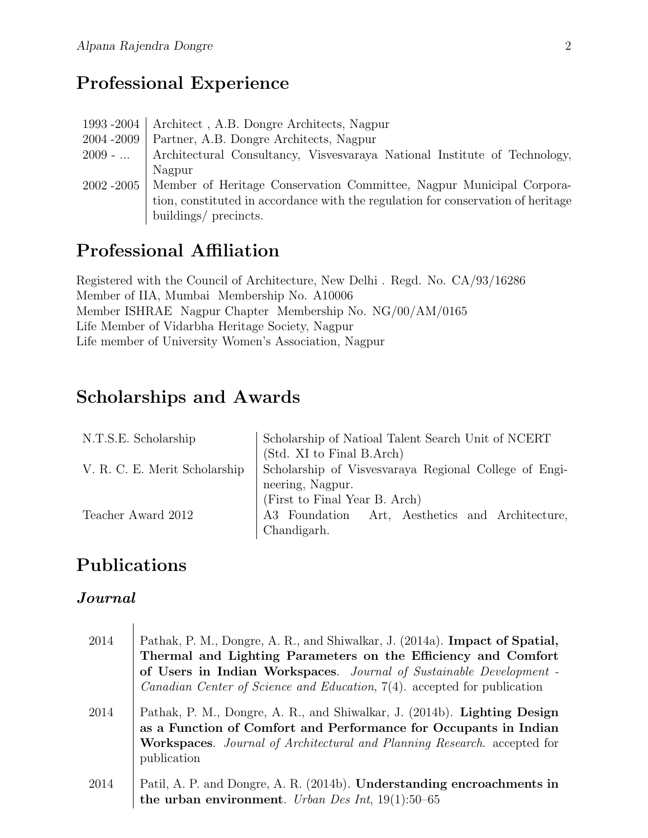# Professional Experience

|               | 1993-2004   Architect, A.B. Dongre Architects, Nagpur                               |
|---------------|-------------------------------------------------------------------------------------|
| $2004 - 2009$ | Partner, A.B. Dongre Architects, Nagpur                                             |
|               | 2009 -    Architectural Consultancy, Visvesvaraya National Institute of Technology, |
|               | Nagpur                                                                              |
|               | 2002–2005   Member of Heritage Conservation Committee, Nagpur Municipal Corpora-    |
|               | tion, constituted in accordance with the regulation for conservation of heritage    |
|               | buildings/ precincts.                                                               |

## Professional Affiliation

Registered with the Council of Architecture, New Delhi . Regd. No. CA/93/16286 Member of IIA, Mumbai Membership No. A10006 Member ISHRAE Nagpur Chapter Membership No. NG/00/AM/0165 Life Member of Vidarbha Heritage Society, Nagpur Life member of University Women's Association, Nagpur

### Scholarships and Awards

| N.T.S.E. Scholarship          | Scholarship of Natioal Talent Search Unit of NCERT    |
|-------------------------------|-------------------------------------------------------|
|                               | (Std. XI to Final B.Arch)                             |
| V. R. C. E. Merit Scholarship | Scholarship of Visvesvaraya Regional College of Engi- |
|                               | neering, Nagpur.                                      |
|                               | (First to Final Year B. Arch)                         |
| Teacher Award 2012            | A3 Foundation Art, Aesthetics and Architecture,       |
|                               | Chandigarh.                                           |

# Publications

#### Journal

| 2014 | Pathak, P. M., Dongre, A. R., and Shiwalkar, J. (2014a). Impact of Spatial,<br>Thermal and Lighting Parameters on the Efficiency and Comfort<br>of Users in Indian Workspaces. Journal of Sustainable Development -<br><i>Canadian Center of Science and Education</i> , 7(4). accepted for publication |
|------|---------------------------------------------------------------------------------------------------------------------------------------------------------------------------------------------------------------------------------------------------------------------------------------------------------|
| 2014 | Pathak, P. M., Dongre, A. R., and Shiwalkar, J. (2014b). Lighting Design<br>as a Function of Comfort and Performance for Occupants in Indian<br><b>Workspaces.</b> Journal of Architectural and Planning Research. accepted for<br>publication                                                          |
| 2014 | Patil, A. P. and Dongre, A. R. (2014b). Understanding encroachments in<br>the urban environment. Urban Des Int, $19(1):50-65$                                                                                                                                                                           |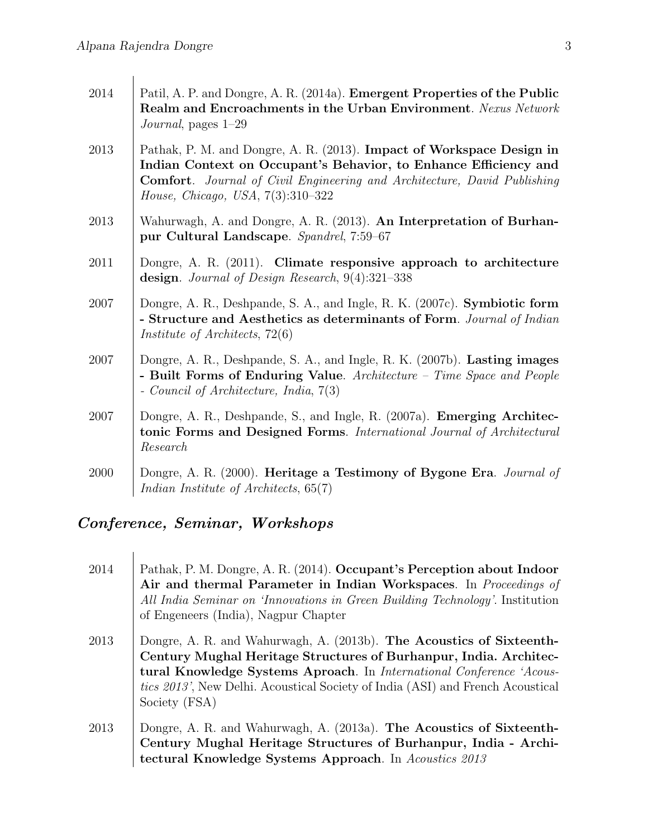| 2014 | Patil, A. P. and Dongre, A. R. (2014a). Emergent Properties of the Public<br>Realm and Encroachments in the Urban Environment. Nexus Network<br>Journal, pages $1-29$                                                                                                      |
|------|----------------------------------------------------------------------------------------------------------------------------------------------------------------------------------------------------------------------------------------------------------------------------|
| 2013 | Pathak, P. M. and Dongre, A. R. (2013). Impact of Workspace Design in<br>Indian Context on Occupant's Behavior, to Enhance Efficiency and<br><b>Comfort.</b> Journal of Civil Engineering and Architecture, David Publishing<br><i>House, Chicago, USA,</i> $7(3):310-322$ |
| 2013 | Wahurwagh, A. and Dongre, A. R. (2013). An Interpretation of Burhan-<br>pur Cultural Landscape. Spandrel, 7:59-67                                                                                                                                                          |
| 2011 | Dongre, A. R. (2011). Climate responsive approach to architecture<br>design. Journal of Design Research, 9(4):321-338                                                                                                                                                      |
| 2007 | Dongre, A. R., Deshpande, S. A., and Ingle, R. K. (2007c). Symbiotic form<br>- Structure and Aesthetics as determinants of Form. Journal of Indian<br><i>Institute of Architects</i> , $72(6)$                                                                             |
| 2007 | Dongre, A. R., Deshpande, S. A., and Ingle, R. K. (2007b). Lasting images<br>- Built Forms of Enduring Value. Architecture - Time Space and People<br>- Council of Architecture, India, $7(3)$                                                                             |
| 2007 | Dongre, A. R., Deshpande, S., and Ingle, R. (2007a). <b>Emerging Architec-</b><br>tonic Forms and Designed Forms. International Journal of Architectural<br>Research                                                                                                       |
| 2000 | Dongre, A. R. (2000). Heritage a Testimony of Bygone Era. Journal of<br>Indian Institute of Architects, $65(7)$                                                                                                                                                            |

### Conference, Seminar, Workshops

| 2014 | Pathak, P. M. Dongre, A. R. (2014). Occupant's Perception about Indoor<br>Air and thermal Parameter in Indian Workspaces. In Proceedings of<br>All India Seminar on 'Innovations in Green Building Technology'. Institution<br>of Engeneers (India), Nagpur Chapter                                                          |
|------|------------------------------------------------------------------------------------------------------------------------------------------------------------------------------------------------------------------------------------------------------------------------------------------------------------------------------|
| 2013 | Dongre, A. R. and Wahurwagh, A. (2013b). The Acoustics of Sixteenth-<br>Century Mughal Heritage Structures of Burhanpur, India. Architec-<br>tural Knowledge Systems Aproach. In International Conference 'Acous-<br><i>tics 2013'</i> , New Delhi. Acoustical Society of India (ASI) and French Acoustical<br>Society (FSA) |
| 2013 | Dongre, A. R. and Wahurwagh, A. (2013a). The Acoustics of Sixteenth-<br>Century Mughal Heritage Structures of Burhanpur, India - Archi-<br>tectural Knowledge Systems Approach. In Acoustics 2013                                                                                                                            |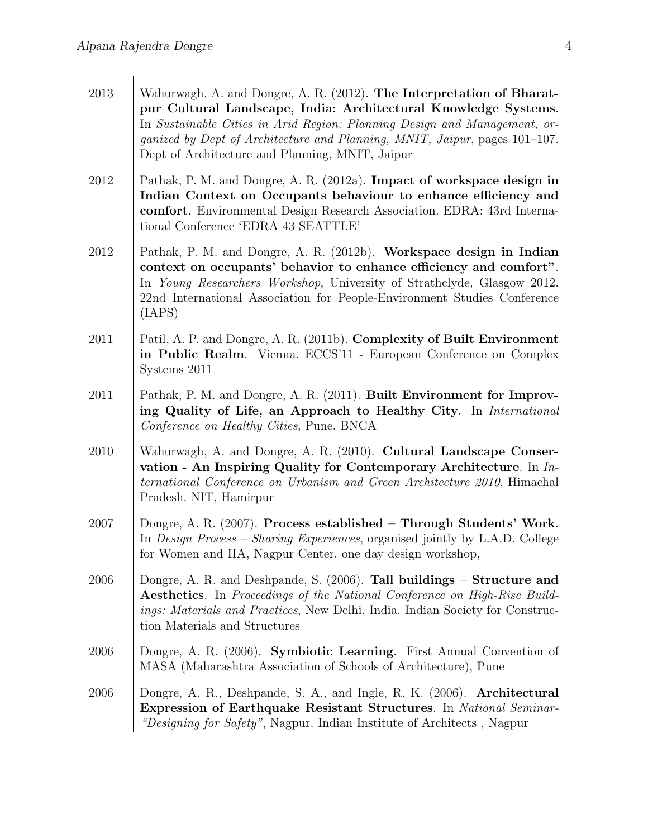| 2013     | Wahurwagh, A. and Dongre, A. R. (2012). The Interpretation of Bharat-<br>pur Cultural Landscape, India: Architectural Knowledge Systems.<br>In Sustainable Cities in Arid Region: Planning Design and Management, or-<br>ganized by Dept of Architecture and Planning, MNIT, Jaipur, pages 101-107.<br>Dept of Architecture and Planning, MNIT, Jaipur |
|----------|--------------------------------------------------------------------------------------------------------------------------------------------------------------------------------------------------------------------------------------------------------------------------------------------------------------------------------------------------------|
| 2012     | Pathak, P. M. and Dongre, A. R. (2012a). Impact of workspace design in<br>Indian Context on Occupants behaviour to enhance efficiency and<br>comfort. Environmental Design Research Association. EDRA: 43rd Interna-<br>tional Conference 'EDRA 43 SEATTLE'                                                                                            |
| 2012     | Pathak, P. M. and Dongre, A. R. (2012b). Workspace design in Indian<br>context on occupants' behavior to enhance efficiency and comfort".<br>In Young Researchers Workshop, University of Strathclyde, Glasgow 2012.<br>22nd International Association for People-Environment Studies Conference<br>(IAPS)                                             |
| $2011\,$ | Patil, A. P. and Dongre, A. R. (2011b). Complexity of Built Environment<br>in Public Realm. Vienna. ECCS'11 - European Conference on Complex<br>Systems 2011                                                                                                                                                                                           |
| 2011     | Pathak, P. M. and Dongre, A. R. (2011). Built Environment for Improv-<br>ing Quality of Life, an Approach to Healthy City. In International<br>Conference on Healthy Cities, Pune. BNCA                                                                                                                                                                |
| 2010     | Wahurwagh, A. and Dongre, A. R. (2010). Cultural Landscape Conser-<br>vation - An Inspiring Quality for Contemporary Architecture. In In-<br>ternational Conference on Urbanism and Green Architecture 2010, Himachal<br>Pradesh. NIT, Hamirpur                                                                                                        |
| 2007     | Dongre, A. R. (2007). Process established - Through Students' Work.<br>In <i>Design Process – Sharing Experiences</i> , organised jointly by L.A.D. College<br>for Women and IIA, Nagpur Center. one day design workshop,                                                                                                                              |
| 2006     | Dongre, A. R. and Deshpande, S. $(2006)$ . Tall buildings – Structure and<br><b>Aesthetics.</b> In Proceedings of the National Conference on High-Rise Build-<br>ings: Materials and Practices, New Delhi, India. Indian Society for Construc-<br>tion Materials and Structures                                                                        |
| 2006     | Dongre, A. R. (2006). Symbiotic Learning. First Annual Convention of<br>MASA (Maharashtra Association of Schools of Architecture), Pune                                                                                                                                                                                                                |
| 2006     | Dongre, A. R., Deshpande, S. A., and Ingle, R. K. (2006). Architectural<br><b>Expression of Earthquake Resistant Structures.</b> In National Seminar-<br>"Designing for Safety", Nagpur. Indian Institute of Architects, Nagpur                                                                                                                        |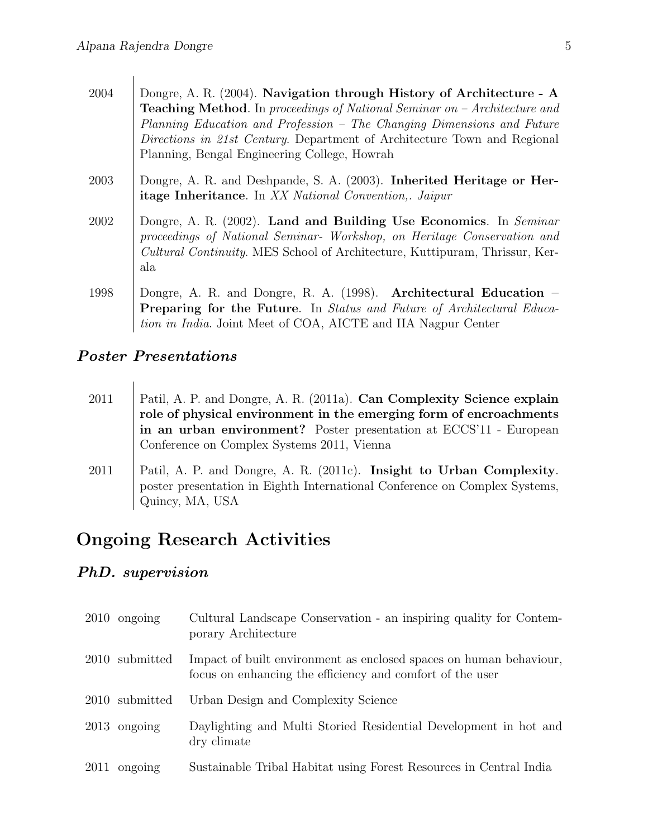| 2004 | Dongre, A. R. (2004). Navigation through History of Architecture - A<br><b>Teaching Method.</b> In proceedings of National Seminar on $-A$ rchitecture and<br>Planning Education and Profession - The Changing Dimensions and Future<br>Directions in 21st Century. Department of Architecture Town and Regional<br>Planning, Bengal Engineering College, Howrah |
|------|------------------------------------------------------------------------------------------------------------------------------------------------------------------------------------------------------------------------------------------------------------------------------------------------------------------------------------------------------------------|
| 2003 | Dongre, A. R. and Deshpande, S. A. (2003). Inherited Heritage or Her-<br><b>itage Inheritance.</b> In XX National Convention, Jaipur                                                                                                                                                                                                                             |
| 2002 | Dongre, A. R. (2002). Land and Building Use Economics. In Seminar<br>proceedings of National Seminar- Workshop, on Heritage Conservation and<br><i>Cultural Continuity.</i> MES School of Architecture, Kuttipuram, Thrissur, Ker-<br>ala                                                                                                                        |
| 1998 | Dongre, A. R. and Dongre, R. A. $(1998)$ . Architectural Education –<br><b>Preparing for the Future.</b> In <i>Status and Future of Architectural Educa</i> -<br>tion in India. Joint Meet of COA, AICTE and IIA Nagpur Center                                                                                                                                   |

#### Poster Presentations

2011 | Patil, A. P. and Dongre, A. R. (2011a). Can Complexity Science explain role of physical environment in the emerging form of encroachments in an urban environment? Poster presentation at ECCS'11 - European Conference on Complex Systems 2011, Vienna 2011 | Patil, A. P. and Dongre, A. R. (2011c). Insight to Urban Complexity. poster presentation in Eighth International Conference on Complex Systems, Quincy, MA, USA

## Ongoing Research Activities

#### PhD. supervision

| $2010$ ongoing | Cultural Landscape Conservation - an inspiring quality for Contem-<br>porary Architecture                                       |
|----------------|---------------------------------------------------------------------------------------------------------------------------------|
| 2010 submitted | Impact of built environment as enclosed spaces on human behaviour,<br>focus on enhancing the efficiency and comfort of the user |
| 2010 submitted | Urban Design and Complexity Science                                                                                             |
| $2013$ ongoing | Daylighting and Multi Storied Residential Development in hot and<br>dry climate                                                 |
| $2011$ ongoing | Sustainable Tribal Habitat using Forest Resources in Central India                                                              |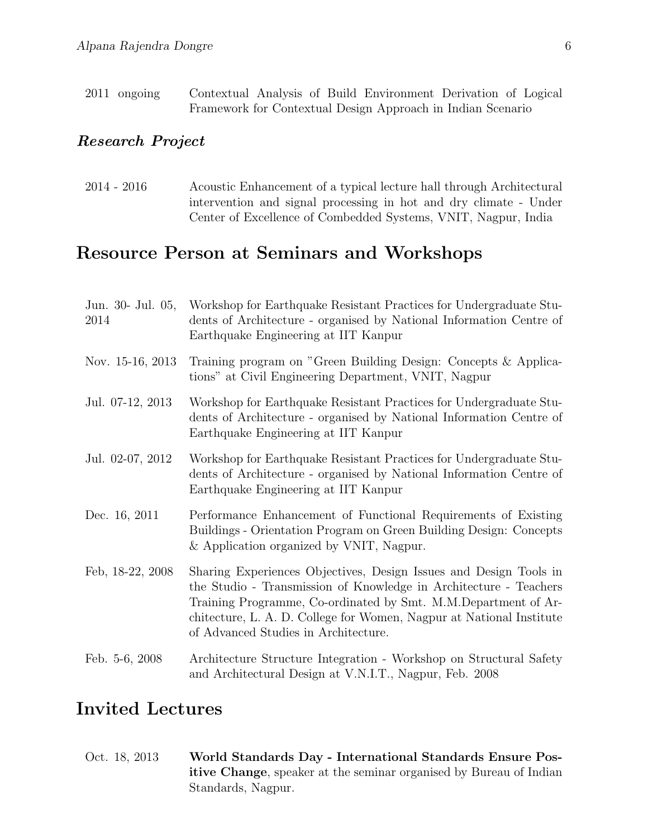2011 ongoing Contextual Analysis of Build Environment Derivation of Logical Framework for Contextual Design Approach in Indian Scenario

#### Research Project

2014 - 2016 Acoustic Enhancement of a typical lecture hall through Architectural intervention and signal processing in hot and dry climate - Under Center of Excellence of Combedded Systems, VNIT, Nagpur, India

## Resource Person at Seminars and Workshops

| Jun. 30- Jul. 05,<br>2014 | Workshop for Earthquake Resistant Practices for Undergraduate Stu-<br>dents of Architecture - organised by National Information Centre of<br>Earthquake Engineering at IIT Kanpur                                                                                                                                        |
|---------------------------|--------------------------------------------------------------------------------------------------------------------------------------------------------------------------------------------------------------------------------------------------------------------------------------------------------------------------|
| Nov. 15-16, 2013          | Training program on "Green Building Design: Concepts & Applica-<br>tions" at Civil Engineering Department, VNIT, Nagpur                                                                                                                                                                                                  |
| Jul. 07-12, 2013          | Workshop for Earthquake Resistant Practices for Undergraduate Stu-<br>dents of Architecture - organised by National Information Centre of<br>Earthquake Engineering at IIT Kanpur                                                                                                                                        |
| Jul. 02-07, 2012          | Workshop for Earthquake Resistant Practices for Undergraduate Stu-<br>dents of Architecture - organised by National Information Centre of<br>Earthquake Engineering at IIT Kanpur                                                                                                                                        |
| Dec. 16, 2011             | Performance Enhancement of Functional Requirements of Existing<br>Buildings - Orientation Program on Green Building Design: Concepts<br>& Application organized by VNIT, Nagpur.                                                                                                                                         |
| Feb, 18-22, 2008          | Sharing Experiences Objectives, Design Issues and Design Tools in<br>the Studio - Transmission of Knowledge in Architecture - Teachers<br>Training Programme, Co-ordinated by Smt. M.M.Department of Ar-<br>chitecture, L. A. D. College for Women, Nagpur at National Institute<br>of Advanced Studies in Architecture. |
| Feb. 5-6, 2008            | Architecture Structure Integration - Workshop on Structural Safety<br>and Architectural Design at V.N.I.T., Nagpur, Feb. 2008                                                                                                                                                                                            |

### Invited Lectures

Oct. 18, 2013 World Standards Day - International Standards Ensure Positive Change, speaker at the seminar organised by Bureau of Indian Standards, Nagpur.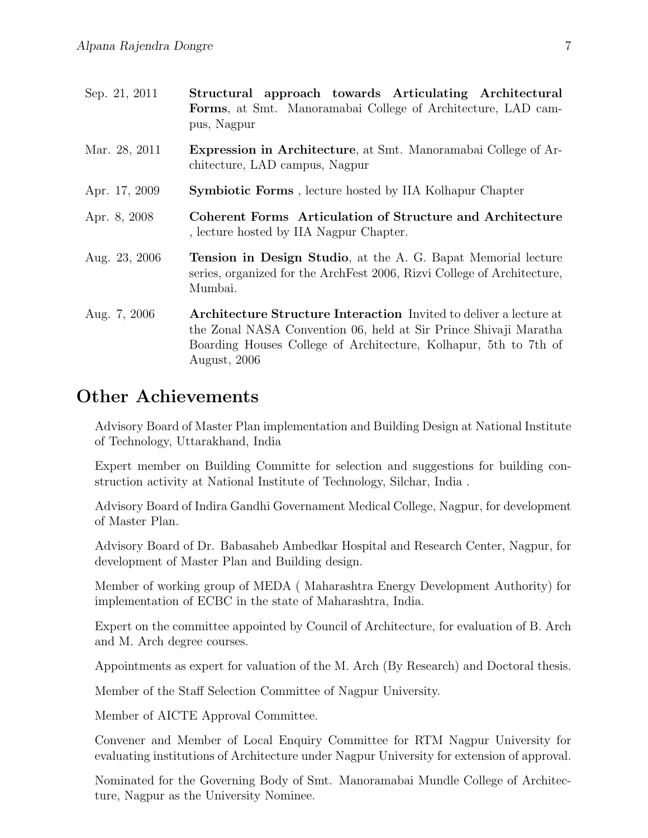| Sep. 21, 2011 | Structural approach towards Articulating Architectural<br>Forms, at Smt. Manoramabai College of Architecture, LAD cam-<br>pus, Nagpur                                                                                             |
|---------------|-----------------------------------------------------------------------------------------------------------------------------------------------------------------------------------------------------------------------------------|
| Mar. 28, 2011 | <b>Expression in Architecture</b> , at Smt. Manoramabai College of Ar-<br>chitecture, LAD campus, Nagpur                                                                                                                          |
| Apr. 17, 2009 | <b>Symbiotic Forms</b> , lecture hosted by IIA Kolhapur Chapter                                                                                                                                                                   |
| Apr. 8, 2008  | <b>Coherent Forms</b> Articulation of Structure and Architecture<br>, lecture hosted by IIA Nagpur Chapter.                                                                                                                       |
| Aug. 23, 2006 | Tension in Design Studio, at the A. G. Bapat Memorial lecture<br>series, organized for the ArchFest 2006, Rizvi College of Architecture,<br>Mumbai.                                                                               |
| Aug. 7, 2006  | <b>Architecture Structure Interaction</b> Invited to deliver a lecture at<br>the Zonal NASA Convention 06, held at Sir Prince Shivaji Maratha<br>Boarding Houses College of Architecture, Kolhapur, 5th to 7th of<br>August, 2006 |

### Other Achievements

Advisory Board of Master Plan implementation and Building Design at National Institute of Technology, Uttarakhand, India

Expert member on Building Committe for selection and suggestions for building construction activity at National Institute of Technology, Silchar, India .

Advisory Board of Indira Gandhi Governament Medical College, Nagpur, for development of Master Plan.

Advisory Board of Dr. Babasaheb Ambedkar Hospital and Research Center, Nagpur, for development of Master Plan and Building design.

Member of working group of MEDA ( Maharashtra Energy Development Authority) for implementation of ECBC in the state of Maharashtra, India.

Expert on the committee appointed by Council of Architecture, for evaluation of B. Arch and M. Arch degree courses.

Appointments as expert for valuation of the M. Arch (By Research) and Doctoral thesis.

Member of the Staff Selection Committee of Nagpur University.

Member of AICTE Approval Committee.

Convener and Member of Local Enquiry Committee for RTM Nagpur University for evaluating institutions of Architecture under Nagpur University for extension of approval.

Nominated for the Governing Body of Smt. Manoramabai Mundle College of Architecture, Nagpur as the University Nominee.